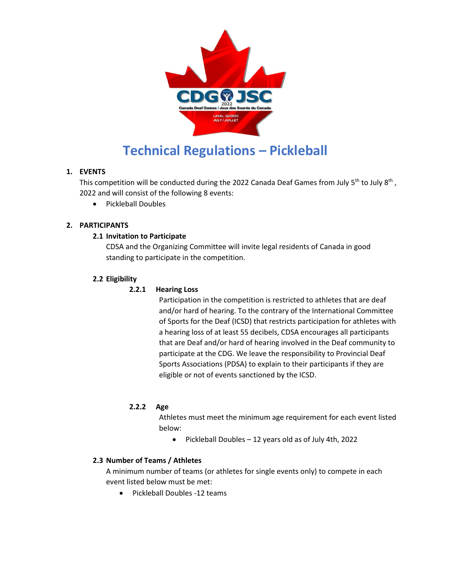

# **Technical Regulations – Pickleball**

# **1. EVENTS**

This competition will be conducted during the 2022 Canada Deaf Games from July 5<sup>th</sup> to July 8<sup>th</sup>, 2022 and will consist of the following 8 events:

• Pickleball Doubles

# **2. PARTICIPANTS**

# **2.1 Invitation to Participate**

CDSA and the Organizing Committee will invite legal residents of Canada in good standing to participate in the competition.

# **2.2 Eligibility**

## **2.2.1 Hearing Loss**

Participation in the competition is restricted to athletes that are deaf and/or hard of hearing. To the contrary of the International Committee of Sports for the Deaf (ICSD) that restricts participation for athletes with a hearing loss of at least 55 decibels, CDSA encourages all participants that are Deaf and/or hard of hearing involved in the Deaf community to participate at the CDG. We leave the responsibility to Provincial Deaf Sports Associations (PDSA) to explain to their participants if they are eligible or not of events sanctioned by the ICSD.

## **2.2.2 Age**

Athletes must meet the minimum age requirement for each event listed below:

Pickleball Doubles – 12 years old as of July 4th, 2022

## **2.3 Number of Teams / Athletes**

A minimum number of teams (or athletes for single events only) to compete in each event listed below must be met:

• Pickleball Doubles -12 teams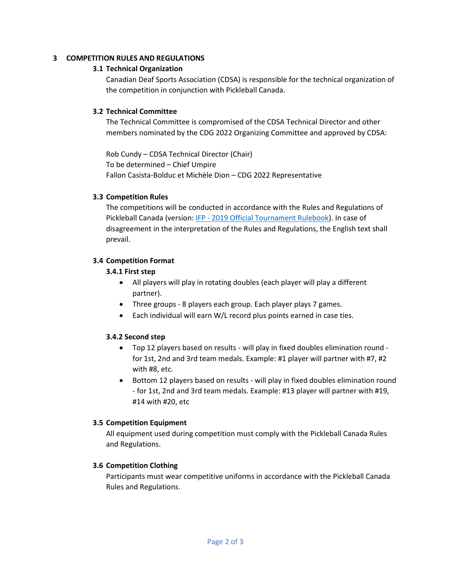#### **3 COMPETITION RULES AND REGULATIONS**

#### **3.1 Technical Organization**

Canadian Deaf Sports Association (CDSA) is responsible for the technical organization of the competition in conjunction with Pickleball Canada.

#### **3.2 Technical Committee**

The Technical Committee is compromised of the CDSA Technical Director and other members nominated by the CDG 2022 Organizing Committee and approved by CDSA:

Rob Cundy – CDSA Technical Director (Chair) To be determined – Chief Umpire Fallon Casista-Bolduc et Michèle Dion – CDG 2022 Representative

#### **3.3 Competition Rules**

The competitions will be conducted in accordance with the Rules and Regulations of Pickleball Canada (version: IFP - [2019 Official Tournament Rulebook\)](https://pickleballcanada.org/docs/2019-USAPA-Official-Tournament-Rulebook.pdf). In case of disagreement in the interpretation of the Rules and Regulations, the English text shall prevail.

## **3.4 Competition Format**

## **3.4.1 First step**

- All players will play in rotating doubles (each player will play a different partner).
- Three groups 8 players each group. Each player plays 7 games.
- Each individual will earn W/L record plus points earned in case ties.

## **3.4.2 Second step**

- Top 12 players based on results will play in fixed doubles elimination round for 1st, 2nd and 3rd team medals. Example: #1 player will partner with #7, #2 with #8, etc.
- Bottom 12 players based on results will play in fixed doubles elimination round - for 1st, 2nd and 3rd team medals. Example: #13 player will partner with #19, #14 with #20, etc

## **3.5 Competition Equipment**

All equipment used during competition must comply with the Pickleball Canada Rules and Regulations.

## **3.6 Competition Clothing**

Participants must wear competitive uniforms in accordance with the Pickleball Canada Rules and Regulations.